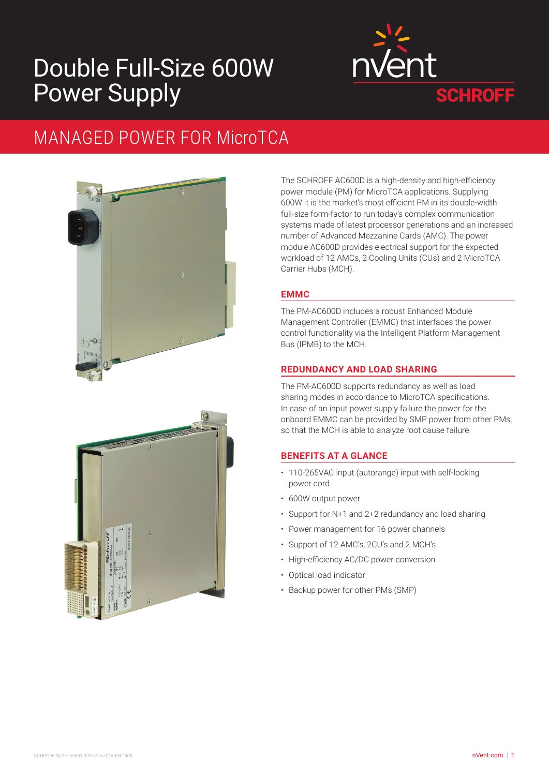# Double Full-Size 600W Power Supply



## MANAGED POWER FOR MicroTCA



**SEPTEMBER** 

The SCHROFF AC600D is a high-density and high-efficiency power module (PM) for MicroTCA applications. Supplying 600W it is the market's most efficient PM in its double-width full-size form-factor to run today's complex communication systems made of latest processor generations and an increased number of Advanced Mezzanine Cards (AMC). The power module AC600D provides electrical support for the expected workload of 12 AMCs, 2 Cooling Units (CUs) and 2 MicroTCA Carrier Hubs (MCH).

## **EMMC**

The PM-AC600D includes a robust Enhanced Module Management Controller (EMMC) that interfaces the power control functionality via the Intelligent Platform Management Bus (IPMB) to the MCH.

## **REDUNDANCY AND LOAD SHARING**

The PM-AC600D supports redundancy as well as load sharing modes in accordance to MicroTCA specifications. In case of an input power supply failure the power for the onboard EMMC can be provided by SMP power from other PMs, so that the MCH is able to analyze root cause failure.

## **BENEFITS AT A GLANCE**

- 110-265VAC input (autorange) input with self-locking power cord
- 600W output power
- Support for N+1 and 2+2 redundancy and load sharing
- Power management for 16 power channels
- Support of 12 AMC's, 2CU's and 2 MCH's
- High-efficiency AC/DC power conversion
- Optical load indicator
- Backup power for other PMs (SMP)